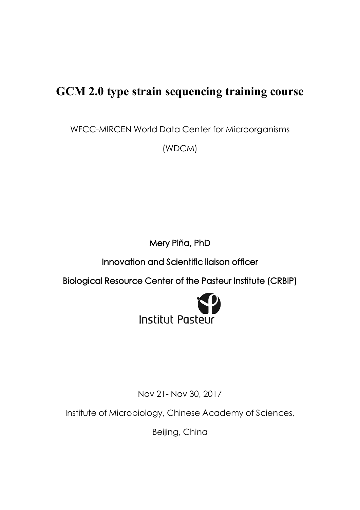# **GCM 2.0 type strain sequencing training course**

WFCC-MIRCEN World Data Center for Microorganisms

(WDCM)

**Mery Piña, PhD** 

**Innovation and Scientific liaison officer** 

**Biological Resource Center of the Pasteur Institute (CRBIP)** 



Nov 21- Nov 30, 2017

Institute of Microbiology, Chinese Academy of Sciences,

Beijing, China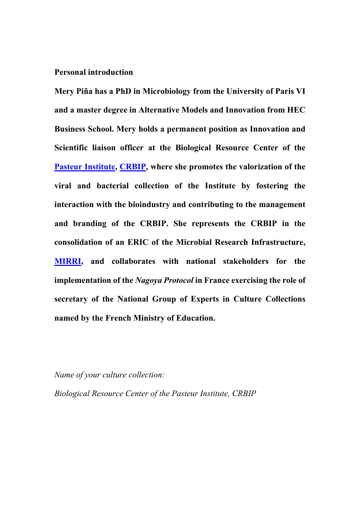### **Personal introduction**

**Mery Piña has a PhD in Microbiology from the University of Paris VI and a master degree in Alternative Models and Innovation from HEC Business School. Mery holds a permanent position as Innovation and Scientific liaison officer at the Biological Resource Center of the Pasteur [Institute](https://www.pasteur.fr/en), [CRBIP](https://www.pasteur.fr/en/public-health/crbip/crbip), where she promotes the valorization of the viral and bacterial collection of the Institute by fostering the interaction with the bioindustry and contributing to the management and branding of the CRBIP. She represents the CRBIP in the consolidation of an ERIC of the Microbial Research Infrastructure, [MIRRI](http://www.mirri.org/), and collaborates with national stakeholders for the implementation of the** *Nagoya Protocol* **in France exercising the role of secretary of the National Group of Experts in Culture Collections named by the French Ministry of Education.**

*Name of your culture collection:*

*Biological Resource Center of the Pasteur Institute, CRBIP*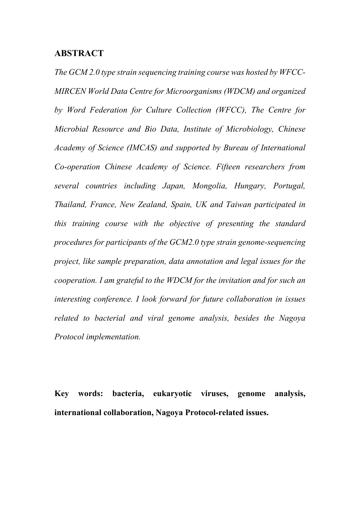## **ABSTRACT**

*The GCM 2.0 type strain sequencing training course was hosted by WFCC-MIRCEN World Data Centre for Microorganisms (WDCM) and organized by Word Federation for Culture Collection (WFCC), The Centre for Microbial Resource and Bio Data, Institute of Microbiology, Chinese Academy of Science (IMCAS) and supported by Bureau of International Co-operation Chinese Academy of Science. Fifteen researchers from several countries including Japan, Mongolia, Hungary, Portugal, Thailand, France, New Zealand, Spain, UK and Taiwan participated in this training course with the objective of presenting the standard procedures for participants of the GCM2.0 type strain genome-sequencing project, like sample preparation, data annotation and legal issues for the cooperation. I am grateful to the WDCM for the invitation and for such an interesting conference. I look forward for future collaboration in issues related to bacterial and viral genome analysis, besides the Nagoya Protocol implementation.*

**Key words:****bacteria, eukaryotic viruses, genome analysis, international collaboration, Nagoya Protocol-related issues.**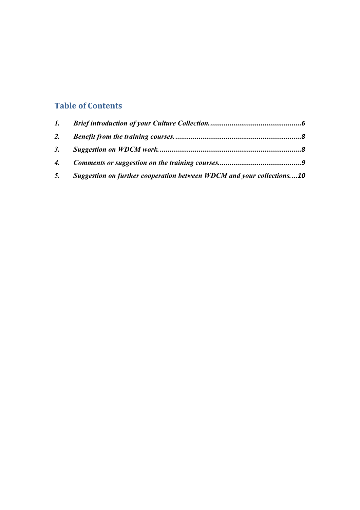# **Table of Contents**

| 5. Suggestion on further cooperation between WDCM and your collections10 |  |
|--------------------------------------------------------------------------|--|